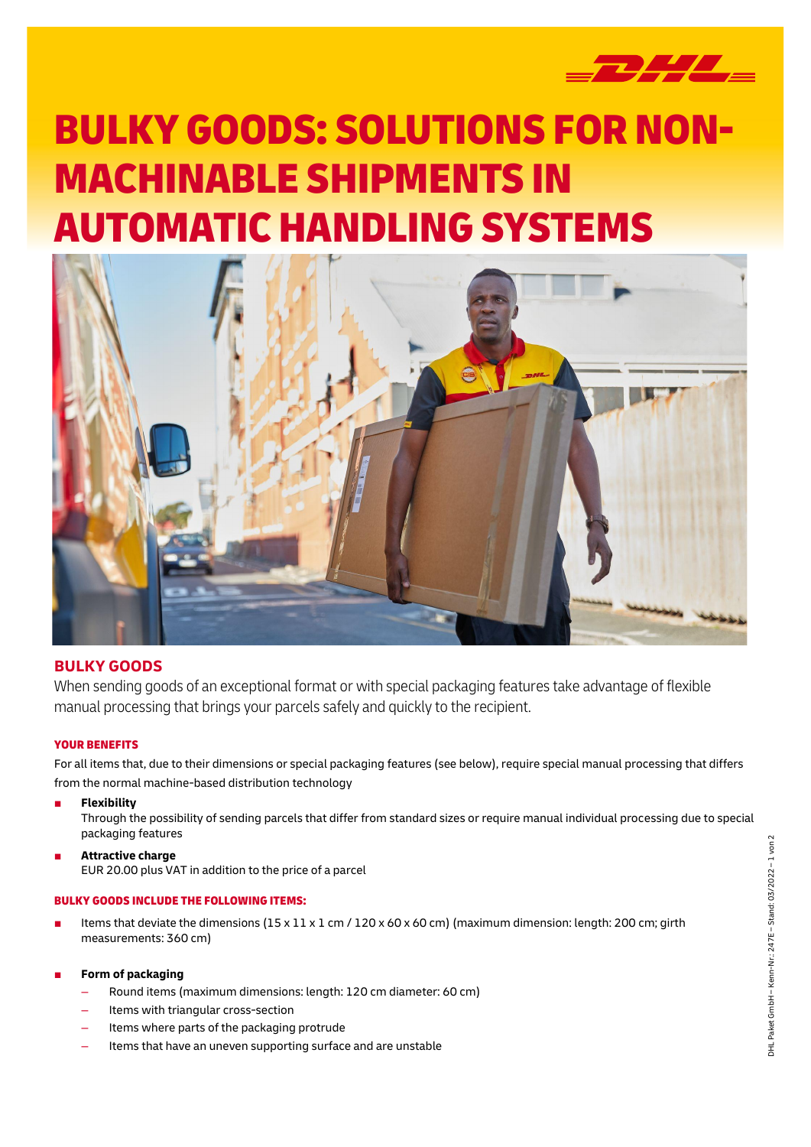

# BULKY GOODS: SOLUTIONS FOR NON-MACHINABLE SHIPMENTS IN AUTOMATIC HANDLING SYSTEMS



# **BULKY GOODS**

When sending goods of an exceptional format or with special packaging features take advantage of flexible manual processing that brings your parcels safely and quickly to the recipient.

## YOUR BENEFITS

For all items that, due to their dimensions or special packaging features (see below), require special manual processing that differs from the normal machine-based distribution technology

■ **Flexibility**

Through the possibility of sending parcels that differ from standard sizes or require manual individual processing due to special packaging features

■ **Attractive charge** EUR 20.00 plus VAT in addition to the price of a parcel

## BULKY GOODS INCLUDE THE FOLLOWING ITEMS:

- Items that deviate the dimensions  $(15 \times 11 \times 1$  cm /  $120 \times 60 \times 60$  cm) (maximum dimension: length: 200 cm; girth measurements: 360 cm)
- **Form of packaging** 
	- Round items (maximum dimensions: length: 120 cm diameter: 60 cm)
	- Items with triangular cross-section
	- Items where parts of the packaging protrude
	- Items that have an uneven supporting surface and are unstable